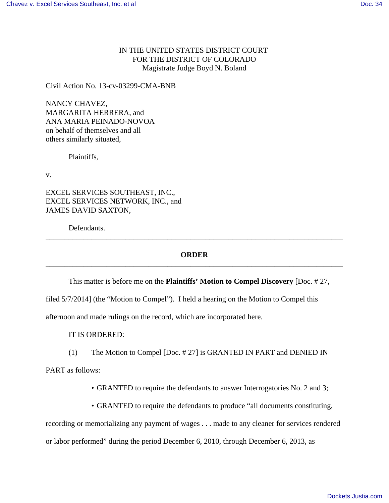## IN THE UNITED STATES DISTRICT COURT FOR THE DISTRICT OF COLORADO Magistrate Judge Boyd N. Boland

Civil Action No. 13-cv-03299-CMA-BNB

NANCY CHAVEZ, MARGARITA HERRERA, and ANA MARIA PEINADO-NOVOA on behalf of themselves and all others similarly situated,

Plaintiffs,

v.

EXCEL SERVICES SOUTHEAST, INC., EXCEL SERVICES NETWORK, INC., and JAMES DAVID SAXTON,

Defendants.

## **ORDER** \_\_\_\_\_\_\_\_\_\_\_\_\_\_\_\_\_\_\_\_\_\_\_\_\_\_\_\_\_\_\_\_\_\_\_\_\_\_\_\_\_\_\_\_\_\_\_\_\_\_\_\_\_\_\_\_\_\_\_\_\_\_\_\_\_\_\_\_\_\_\_\_\_\_\_\_\_\_

\_\_\_\_\_\_\_\_\_\_\_\_\_\_\_\_\_\_\_\_\_\_\_\_\_\_\_\_\_\_\_\_\_\_\_\_\_\_\_\_\_\_\_\_\_\_\_\_\_\_\_\_\_\_\_\_\_\_\_\_\_\_\_\_\_\_\_\_\_\_\_\_\_\_\_\_\_\_

This matter is before me on the **Plaintiffs' Motion to Compel Discovery** [Doc. # 27,

filed 5/7/2014] (the "Motion to Compel"). I held a hearing on the Motion to Compel this

afternoon and made rulings on the record, which are incorporated here.

IT IS ORDERED:

(1) The Motion to Compel [Doc. # 27] is GRANTED IN PART and DENIED IN

PART as follows:

• GRANTED to require the defendants to answer Interrogatories No. 2 and 3;

• GRANTED to require the defendants to produce "all documents constituting,

recording or memorializing any payment of wages . . . made to any cleaner for services rendered

or labor performed" during the period December 6, 2010, through December 6, 2013, as